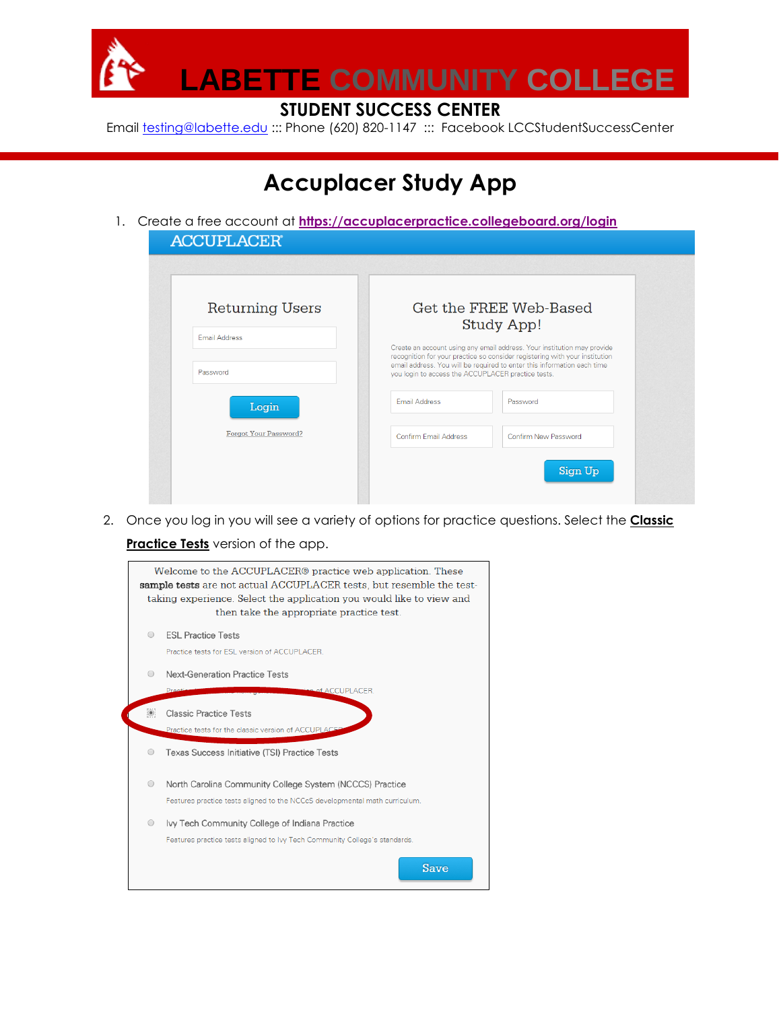

## **STUDENT SUCCESS CENTER**

Email [testing@labette.edu](mailto:testing@labette.edu) ::: Phone (620) 820-1147 ::: Facebook LCCStudentSuccessCenter

## **Accuplacer Study App**

1. Create a free account at **<https://accuplacerpractice.collegeboard.org/login>**

| <b>Returning Users</b> |                                                    | Get the FREE Web-Based<br><b>Study App!</b>                                                                                                            |
|------------------------|----------------------------------------------------|--------------------------------------------------------------------------------------------------------------------------------------------------------|
| <b>Email Address</b>   |                                                    | Create an account using any email address. Your institution may provide                                                                                |
| Password               | you login to access the ACCUPLACER practice tests. | recognition for your practice so consider registering with your institution<br>email address. You will be required to enter this information each time |
| Login                  | <b>Email Address</b>                               | Password                                                                                                                                               |
| Forgot Your Password?  | Confirm Email Address                              | Confirm New Password                                                                                                                                   |

2. Once you log in you will see a variety of options for practice questions. Select the **Classic** 

## **Practice Tests** version of the app.

|                                                                     | Welcome to the ACCUPLACER® practice web application. These                  |                                                                             |  |  |  |  |  |  |  |
|---------------------------------------------------------------------|-----------------------------------------------------------------------------|-----------------------------------------------------------------------------|--|--|--|--|--|--|--|
|                                                                     | <b>sample tests</b> are not actual ACCUPLACER tests, but resemble the test- |                                                                             |  |  |  |  |  |  |  |
|                                                                     | taking experience. Select the application you would like to view and        |                                                                             |  |  |  |  |  |  |  |
|                                                                     | then take the appropriate practice test.                                    |                                                                             |  |  |  |  |  |  |  |
| <b>ESL Practice Tests</b><br>$\bigcirc$                             |                                                                             |                                                                             |  |  |  |  |  |  |  |
|                                                                     |                                                                             | Practice tests for ESI, version of ACCUPLACER                               |  |  |  |  |  |  |  |
|                                                                     |                                                                             |                                                                             |  |  |  |  |  |  |  |
| <b>Next-Generation Practice Tests</b><br>$\bigcirc$                 |                                                                             |                                                                             |  |  |  |  |  |  |  |
|                                                                     |                                                                             | ion of ACCUPLACER.<br>Practi                                                |  |  |  |  |  |  |  |
|                                                                     |                                                                             |                                                                             |  |  |  |  |  |  |  |
|                                                                     |                                                                             | <b>Classic Practice Tests</b>                                               |  |  |  |  |  |  |  |
| Practice tests for the classic version of ACCUPLACEP                |                                                                             |                                                                             |  |  |  |  |  |  |  |
|                                                                     | $\circ$                                                                     | Texas Success Initiative (TSI) Practice Tests                               |  |  |  |  |  |  |  |
|                                                                     |                                                                             |                                                                             |  |  |  |  |  |  |  |
| North Carolina Community College System (NCCCS) Practice<br>$\circ$ |                                                                             |                                                                             |  |  |  |  |  |  |  |
|                                                                     |                                                                             |                                                                             |  |  |  |  |  |  |  |
|                                                                     |                                                                             | Features practice tests aligned to the NCCcS developmental math curriculum. |  |  |  |  |  |  |  |
|                                                                     | $\circ$                                                                     | Ivy Tech Community College of Indiana Practice                              |  |  |  |  |  |  |  |
|                                                                     |                                                                             | Features practice tests aligned to Ivy Tech Community College's standards.  |  |  |  |  |  |  |  |
|                                                                     |                                                                             |                                                                             |  |  |  |  |  |  |  |
|                                                                     |                                                                             | Save                                                                        |  |  |  |  |  |  |  |
|                                                                     |                                                                             |                                                                             |  |  |  |  |  |  |  |